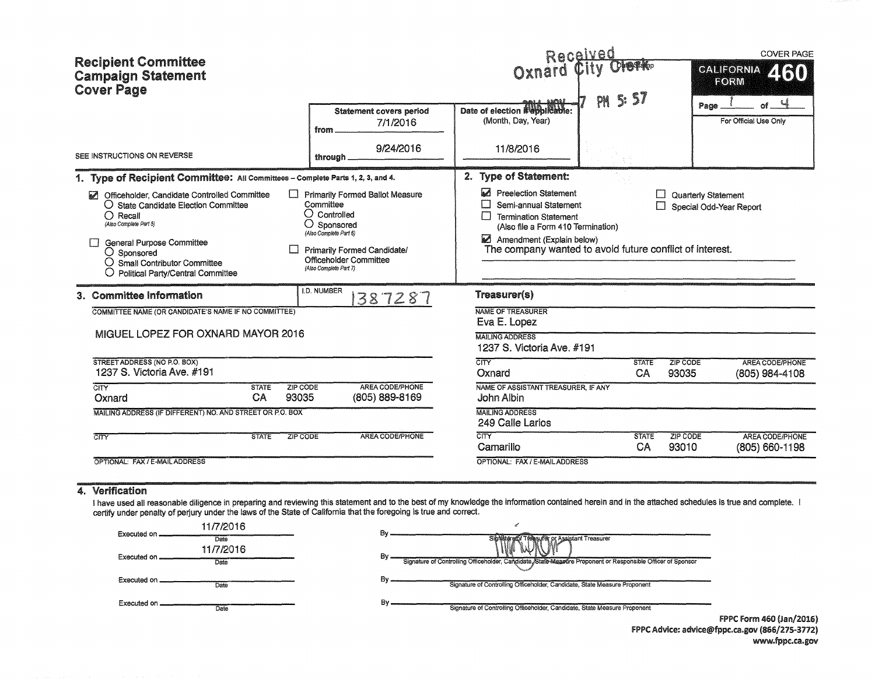| <b>Recipient Committee</b><br><b>Campaign Statement</b><br><b>Cover Page</b>                                                                                                                                                                                 |                                                                                                                                                                                                                   | Received<br>Oxnard<br>PH                                                                                                                                                                                           | 5:57                                    | <b>COVER PAGE</b><br><b>CALIFORNIA</b><br>ZTRO<br><b>FORM</b><br>of $\frac{4}{3}$ |
|--------------------------------------------------------------------------------------------------------------------------------------------------------------------------------------------------------------------------------------------------------------|-------------------------------------------------------------------------------------------------------------------------------------------------------------------------------------------------------------------|--------------------------------------------------------------------------------------------------------------------------------------------------------------------------------------------------------------------|-----------------------------------------|-----------------------------------------------------------------------------------|
|                                                                                                                                                                                                                                                              | <b>Statement covers period</b><br>7/1/2016<br>from                                                                                                                                                                | Date of election Newplicable:<br>(Month, Day, Year)                                                                                                                                                                |                                         | Page<br>For Official Use Only                                                     |
| SEE INSTRUCTIONS ON REVERSE                                                                                                                                                                                                                                  | 9/24/2016<br>through                                                                                                                                                                                              | 11/8/2016                                                                                                                                                                                                          |                                         |                                                                                   |
| 1. Type of Recipient Committee: All Committees - Complete Parts 1, 2, 3, and 4.                                                                                                                                                                              |                                                                                                                                                                                                                   | 2. Type of Statement:                                                                                                                                                                                              |                                         |                                                                                   |
| Officeholder, Candidate Controlled Committee<br>O State Candidate Election Committee<br>$\bigcirc$ Recall<br>(Also Complete Part 5)<br><b>General Purpose Committee</b><br>○ Sponsored<br>O Small Contributor Committee<br>Political Party/Central Committee | <b>Primarily Formed Ballot Measure</b><br>Committee<br>$\bigcirc$ Controlled<br>$\bigcirc$ Sponsored<br>(Also Complete Part 6)<br>Primarily Formed Candidate/<br>Officeholder Committee<br>(Also Complete Part 7) | ⊠<br><b>Preelection Statement</b><br>Semi-annual Statement<br>Termination Statement<br>(Also file a Form 410 Termination)<br>Amendment (Explain below)<br>The company wanted to avoid future conflict of interest. | $\mathsf{I}$                            | <b>Quarterly Statement</b><br>Special Odd-Year Report                             |
| 3. Committee Information                                                                                                                                                                                                                                     | I.D. NUMBER<br>387287                                                                                                                                                                                             | Treasurer(s)                                                                                                                                                                                                       |                                         |                                                                                   |
| COMMITTEE NAME (OR CANDIDATE'S NAME IF NO COMMITTEE)                                                                                                                                                                                                         |                                                                                                                                                                                                                   | NAME OF TREASURER<br>Eva E. Lopez                                                                                                                                                                                  |                                         |                                                                                   |
| MIGUEL LOPEZ FOR OXNARD MAYOR 2016                                                                                                                                                                                                                           |                                                                                                                                                                                                                   | <b>MAILING ADDRESS</b><br>1237 S. Victoria Ave. #191                                                                                                                                                               |                                         |                                                                                   |
| STREET ADDRESS (NO P.O. BOX)<br>1237 S. Victoria Ave. #191                                                                                                                                                                                                   |                                                                                                                                                                                                                   | $\overline{\text{CITY}}$<br>Oxnard                                                                                                                                                                                 | ZIP CODE<br><b>STATE</b><br>CA<br>93035 | <b>AREA CODE/PHONE</b><br>(805) 984-4108                                          |
| $\overline{\text{CITY}}$<br><b>ZIP CODE</b><br><b>STATE</b><br>CA<br>93035<br>Oxnard                                                                                                                                                                         | AREA CODE/PHONE<br>(805) 889-8169                                                                                                                                                                                 | NAME OF ASSISTANT TREASURER, IF ANY<br>John Albin                                                                                                                                                                  |                                         |                                                                                   |
| MAILING ADDRESS (IF DIFFERENT) NO. AND STREET OR P.O. BOX                                                                                                                                                                                                    |                                                                                                                                                                                                                   | <b>MAILING ADDRESS</b><br>249 Calle Larios                                                                                                                                                                         |                                         |                                                                                   |
| ZIP CODE<br>$\overline{\text{CITY}}$<br><b>STATE</b>                                                                                                                                                                                                         | AREA CODE/PHONE                                                                                                                                                                                                   | CTY<br>Camarillo                                                                                                                                                                                                   | ZIP CODE<br><b>STATE</b><br>CA<br>93010 | AREA CODE/PHONE<br>(805) 660-1198                                                 |
| OPTIONAL: FAX / E-MAIL ADDRESS                                                                                                                                                                                                                               |                                                                                                                                                                                                                   | OPTIONAL: FAX / E-MAIL ADDRESS                                                                                                                                                                                     |                                         |                                                                                   |
| 4. Verification                                                                                                                                                                                                                                              |                                                                                                                                                                                                                   |                                                                                                                                                                                                                    |                                         |                                                                                   |

I have used all reasonable diligence in preparing and reviewing this statement and to the best of my knowledge the information contained herein and in the attached schedules is true and complete. I certify under penalty of perjury under the laws of the State of California that the foregoing is true and correct.

| Executed on | 11/7/2016         | Bv.                                                                                                              |           |
|-------------|-------------------|------------------------------------------------------------------------------------------------------------------|-----------|
|             | Date<br>11/7/2016 | Signature of Treasurer or Assistant Treasurer                                                                    |           |
| Executed on | Date              | Βv<br>Signature of Controlling Officeholder, Candidate State Maasure Proponent or Responsible Officer of Sponsor |           |
| Executed on | Date              | Bv<br>Signature of Controlling Officeholder, Candidate, State Measure Proponent                                  |           |
| Executed on | Date              | Signature of Controlling Officeholder, Candidate, State Measure Proponent                                        |           |
|             |                   |                                                                                                                  | EDDC Corp |

fPPC Form 460 (Jan/2016) FPPC Advice: advice@fppc.ca.gov (866/275-3772) www.fppc.ca.gov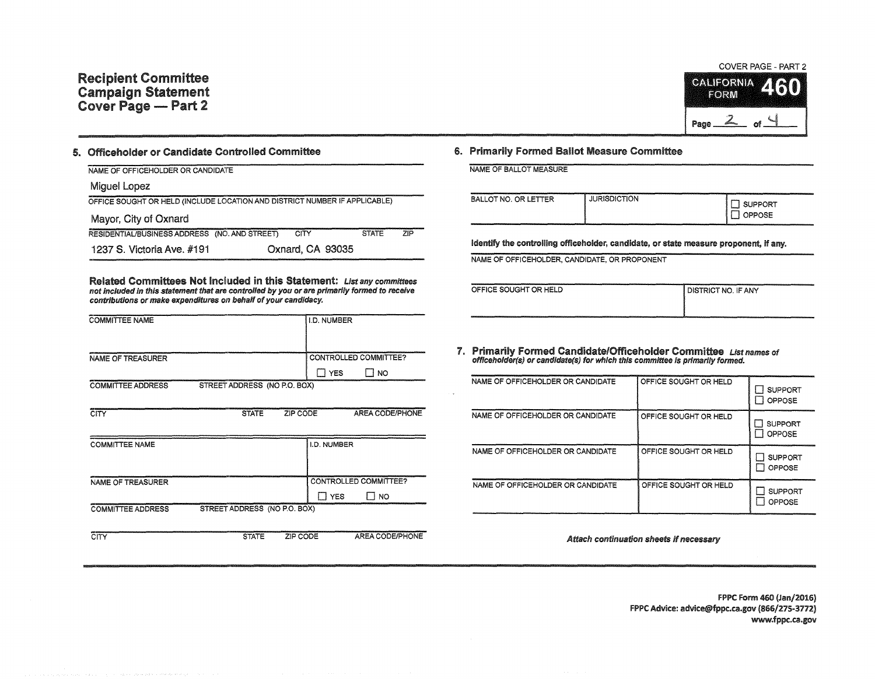

## 5. Officeholder or Candidate Controlled Committee

| NAME OF OFFICEHOLDER OR CANDIDATE                                          |                  |              |            |
|----------------------------------------------------------------------------|------------------|--------------|------------|
| Miquel Lopez                                                               |                  |              |            |
| OFFICE SOUGHT OR HELD (INCLUDE LOCATION AND DISTRICT NUMBER IF APPLICABLE) |                  |              |            |
| Mayor, City of Oxnard                                                      |                  |              |            |
| RESIDENTIAL/BUSINESS ADDRESS (NO. AND STREET)                              | CITY             | <b>STATE</b> | <b>ZIP</b> |
| 1237 S. Victoria Ave. #191                                                 | Oxnard, CA 93035 |              |            |

Related Committees Not Included in this Statement: List any committees not Included In this statement that are controlled by you or are primarily formed to receive contributions or make expenditures on behalf of your candidacy.

| <b>COMMITTEE NAME</b>    |                              |          | I.D. NUMBER        |                       |
|--------------------------|------------------------------|----------|--------------------|-----------------------|
|                          |                              |          |                    |                       |
| NAME OF TREASURER        |                              |          |                    | CONTROLLED COMMITTEE? |
|                          |                              |          | $\Box$ YES         | l I no                |
| <b>COMMITTEE ADDRESS</b> | STREET ADDRESS (NO P.O. BOX) |          |                    |                       |
|                          |                              |          |                    |                       |
| <b>CITY</b>              | <b>STATE</b>                 | ZIP CODE |                    | AREA CODE/PHONE       |
|                          |                              |          |                    |                       |
| <b>COMMITTEE NAME</b>    |                              |          | <b>I.D. NUMBER</b> |                       |
|                          |                              |          |                    |                       |
|                          |                              |          |                    |                       |
| <b>NAME OF TREASURER</b> |                              |          |                    | CONTROLLED COMMITTEE? |
|                          |                              |          | ∏ YES              | LI NO                 |
| <b>COMMITTEE ADDRESS</b> | STREET ADDRESS (NO P.O. BOX) |          |                    |                       |
|                          |                              |          |                    |                       |

CITY STATE ZIP CODE AREA CODE/PHONE

## S. Primarily Formed Ballot Measure Committee

NAME OF BALLOT MEASURE

| BALLOT NO. OR LETTER | <b>JURISDICTION</b> | , SUPPORT<br>OPPOSE |
|----------------------|---------------------|---------------------|
|----------------------|---------------------|---------------------|

identify the controlling officeholder, candidate, or state measure proponent, if any.

NAME OF OFFICEHOLDER, CANDIDATE, OR PROPONENT

| OFFICE SOUGHT OR HELD | <b>DISTRICT NO. IF ANY</b> |
|-----------------------|----------------------------|
|                       |                            |

7. Primarily Formed Candidate/Officeholder Committee List names of officeholder(s) or candidate(s) for which this committee is primarily formed.

| NAME OF OFFICEHOLDER OR CANDIDATE | OFFICE SOUGHT OR HELD | <b>SUPPORT</b><br><b>OPPOSE</b> |
|-----------------------------------|-----------------------|---------------------------------|
| NAME OF OFFICEHOLDER OR CANDIDATE | OFFICE SOUGHT OR HELD | <b>SUPPORT</b><br><b>OPPOSE</b> |
| NAME OF OFFICEHOLDER OR CANDIDATE | OFFICE SOUGHT OR HELD | <b>SUPPORT</b><br>OPPOSE        |
| NAME OF OFFICEHOLDER OR CANDIDATE | OFFICE SOUGHT OR HELD | <b>SUPPORT</b><br>OPPOSE        |

Attach continuation sheets if necessary

FPPC Form 460 (Jan/2016) FPPC Advice: advice@fppc.ca.gov (866/275-3772) www.fppc.ca.gov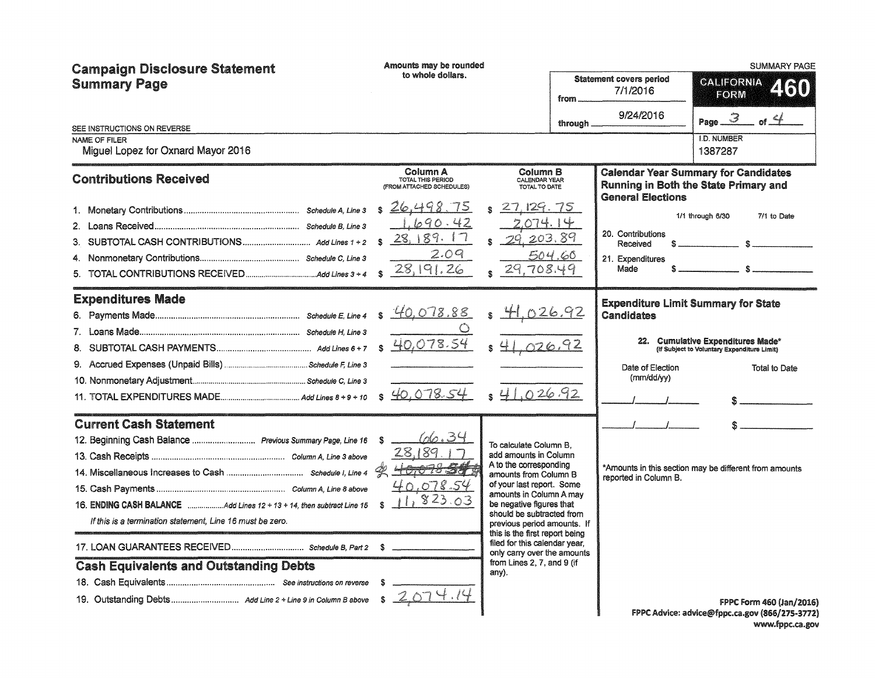| <b>Campaign Disclosure Statement</b><br><b>Summary Page</b>                                                             | Amounts may be rounded<br>to whole dollars.                               |                                                                                                                                                                                                                                                                                      | <b>Statement covers period</b>                                  | <b>SUMMARY PAGE</b><br>CALEORNIA                                                     |
|-------------------------------------------------------------------------------------------------------------------------|---------------------------------------------------------------------------|--------------------------------------------------------------------------------------------------------------------------------------------------------------------------------------------------------------------------------------------------------------------------------------|-----------------------------------------------------------------|--------------------------------------------------------------------------------------|
|                                                                                                                         |                                                                           | from.                                                                                                                                                                                                                                                                                | 7/1/2016                                                        | 2130<br><b>FORM</b>                                                                  |
| SEE INSTRUCTIONS ON REVERSE                                                                                             |                                                                           | through                                                                                                                                                                                                                                                                              | 9/24/2016                                                       | Page $\mathcal{3}$                                                                   |
| NAME OF FILER<br>Miguel Lopez for Oxnard Mayor 2016                                                                     |                                                                           |                                                                                                                                                                                                                                                                                      |                                                                 | <b>I.D. NUMBER</b><br>1387287                                                        |
| <b>Contributions Received</b>                                                                                           | Column A<br>TOTAL THIS PERIOD<br>(FROM ATTACHED SCHEDULES)                | Column B<br>CALENDAR YEAR<br>TOTAL TO DATE                                                                                                                                                                                                                                           | <b>General Elections</b>                                        | <b>Calendar Year Summary for Candidates</b><br>Running in Both the State Primary and |
|                                                                                                                         | s26,498<br>75<br>1.690.42<br>28,189.17<br>2.09<br>28,191.26               | 27, 129.75<br>.074.14<br>203.89<br>504.66<br>29,708.49                                                                                                                                                                                                                               | 20. Contributions<br>Received<br>S.<br>21. Expenditures<br>Made | 1/1 through 6/30<br>7/1 to Date<br>$\mathbb{R}$<br>$\mathbb{R}$                      |
| <b>Expenditures Made</b>                                                                                                | \$40,078.88                                                               | $$\frac{41.026.92}{2}$                                                                                                                                                                                                                                                               | <b>Expenditure Limit Summary for State</b><br><b>Candidates</b> |                                                                                      |
|                                                                                                                         | 40,078.54                                                                 | 026.92                                                                                                                                                                                                                                                                               |                                                                 | 22. Cumulative Expenditures Made*<br>(If Subject to Voluntary Expenditure Limit)     |
|                                                                                                                         |                                                                           |                                                                                                                                                                                                                                                                                      | Date of Election<br>(mm/dd/yy)                                  | <b>Total to Date</b>                                                                 |
|                                                                                                                         | \$40,078.54                                                               | $s$ 41.026.92                                                                                                                                                                                                                                                                        |                                                                 |                                                                                      |
| <b>Current Cash Statement</b>                                                                                           |                                                                           |                                                                                                                                                                                                                                                                                      |                                                                 |                                                                                      |
| 12. Beginning Cash Balance  Previous Summary Page, Line 16<br>If this is a termination statement, Line 16 must be zero. | 66.34<br>S<br>28,189<br>40,0103379<br>40.078.54<br>823.03<br>$\mathbf{r}$ | To calculate Column B.<br>add amounts in Column<br>A to the corresponding<br>amounts from Column B<br>of your last report. Some<br>amounts in Column A may<br>be negative figures that<br>should be subtracted from<br>previous period amounts. If<br>this is the first report being | reported in Column B.                                           | *Amounts in this section may be different from amounts                               |
|                                                                                                                         |                                                                           | filed for this calendar year,<br>only carry over the amounts                                                                                                                                                                                                                         |                                                                 |                                                                                      |
| <b>Cash Equivalents and Outstanding Debts</b>                                                                           | s.                                                                        | from Lines 2, 7, and 9 (if<br>any).                                                                                                                                                                                                                                                  |                                                                 | FPPC Form 460 (Jan/2016)<br>FPPC Advice: advice@fppc.ca.gov (866/275-3772)           |

www.fppc.ca.gov